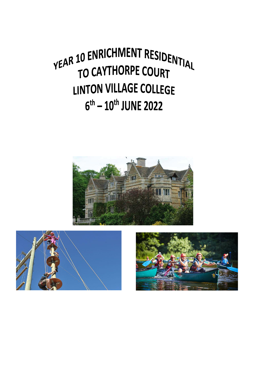# YEAR 10 ENRICHMENT RESIDENTIAL TO CAYTHORPE COURT **LINTON VILLAGE COLLEGE**  $6^{th}$  –  $10^{th}$  JUNE 2022





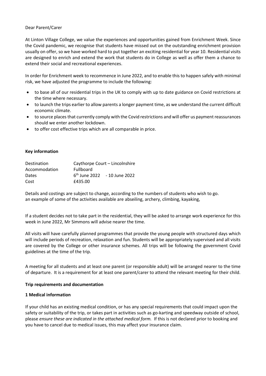#### Dear Parent/Carer

At Linton Village College, we value the experiences and opportunities gained from Enrichment Week. Since the Covid pandemic, we recognise that students have missed out on the outstanding enrichment provision usually on offer, so we have worked hard to put together an exciting residential for year 10. Residential visits are designed to enrich and extend the work that students do in College as well as offer them a chance to extend their social and recreational experiences.

In order for Enrichment week to recommence in June 2022, and to enable this to happen safely with minimal risk, we have adjusted the programme to include the following:

- to base all of our residential trips in the UK to comply with up to date guidance on Covid restrictions at the time where necessary.
- to launch the trips earlier to allow parents a longer payment time, as we understand the current difficult economic climate.
- to source places that currently comply with the Covid restrictions and will offer us payment reassurances should we enter another lockdown.
- to offer cost effective trips which are all comparable in price.

#### **Key information**

| <b>Destination</b> | Caythorpe Court – Lincolnshire |  |  |
|--------------------|--------------------------------|--|--|
| Accommodation      | Fullboard                      |  |  |
| <b>Dates</b>       | $6th$ June 2022 - 10 June 2022 |  |  |
| Cost               | £435.00                        |  |  |

Details and costings are subject to change, according to the numbers of students who wish to go. an example of some of the activities available are abseiling, archery, climbing, kayaking,

If a student decides not to take part in the residential, they will be asked to arrange work experience for this week in June 2022, Mr Simmons will advise nearer the time.

All visits will have carefully planned programmes that provide the young people with structured days which will include periods of recreation, relaxation and fun. Students will be appropriately supervised and all visits are covered by the College or other insurance schemes. All trips will be following the government Covid guidelines at the time of the trip.

A meeting for all students and at least one parent (or responsible adult) will be arranged nearer to the time of departure. It is a requirement for at least one parent/carer to attend the relevant meeting for their child.

#### **Trip requirements and documentation**

#### **1 Medical information**

If your child has an existing medical condition, or has any special requirements that could impact upon the safety or suitability of the trip, or takes part in activities such as go-karting and speedway outside of school, please *ensure these are indicated in the attached medical form.* If this is not declared prior to booking and you have to cancel due to medical issues, this may affect your insurance claim.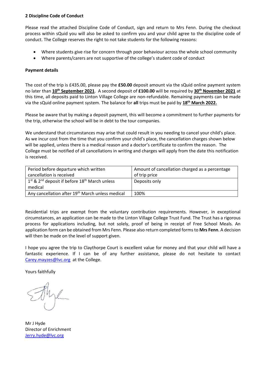#### **2 Discipline Code of Conduct**

Please read the attached Discipline Code of Conduct, sign and return to Mrs Fenn. During the checkout process within sQuid you will also be asked to confirm you and your child agree to the discipline code of conduct. The College reserves the right to not take students for the following reasons:

- Where students give rise for concern through poor behaviour across the whole school community
- Where parents/carers are not supportive of the college's student code of conduct

#### **Payment details**

The cost of the trip is £435.00, please pay the **£50.00** deposit amount via the sQuid online payment system no later than **10th September 2021**. A second deposit of **£100.00** will be required by **30th November 2021** at this time, all deposits paid to Linton Village College are non-refundable. Remaining payments can be made via the sQuid online payment system. The balance for **all** trips must be paid by **18th March 2022.**

Please be aware that by making a deposit payment, this will become a commitment to further payments for the trip, otherwise the school will be in debt to the tour companies.

We understand that circumstances may arise that could result in you needing to cancel your child's place. As we incur cost from the time that you confirm your child's place, the cancellation charges shown below will be applied, unless there is a medical reason and a doctor's certificate to confirm the reason. The College must be notified of all cancellations in writing and charges will apply from the date this notification is received.

| Period before departure which written                         | Amount of cancellation charged as a percentage |
|---------------------------------------------------------------|------------------------------------------------|
| cancellation is received                                      | of trip price                                  |
| $1st$ & 2 <sup>nd</sup> deposit if before $18th$ March unless | Deposits only                                  |
| medical                                                       |                                                |
| Any cancellation after 19 <sup>th</sup> March unless medical  | 100%                                           |

Residential trips are exempt from the voluntary contribution requirements. However, in exceptional circumstances, an application can be made to the Linton Village College Trust Fund. The Trust has a rigorous process for applications including, but not solely, proof of being in receipt of Free School Meals. An application form can be obtained from Mrs Fenn. Please also return completed forms to **Mrs Fenn**. A decision will then be made on the level of support given.

I hope you agree the trip to Claythorpe Court is excellent value for money and that your child will have a fantastic experience. If I can be of any further assistance, please do not hesitate to contact [Carey.mayzes@lvc.org](mailto:Carey.mayzes@lvc.org) at the College.

Yours faithfully

Mr J Hyde Director of Enrichment [Jerry.hyde@lvc.org](mailto:Jerry.hyde@lvc.org)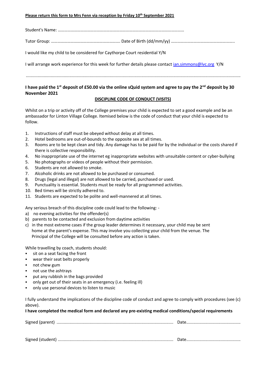#### **Please return this form to Mrs Fenn via reception by Friday 10th September 2021**

| I would like my child to be considered for Caythorpe Court residential Y/N                              |
|---------------------------------------------------------------------------------------------------------|
| I will arrange work experience for this week for further details please contact jan.simmons@lvc.org Y/N |
|                                                                                                         |

## **I have paid the 1st deposit of £50.00 via the online sQuid system and agree to pay the 2nd deposit by 30 November 2021**

### **DISCIPLINE CODE OF CONDUCT (VISITS)**

Whilst on a trip or activity off of the College premises your child is expected to set a good example and be an ambassador for Linton Village College. Itemised below is the code of conduct that your child is expected to follow.

- 1. Instructions of staff must be obeyed without delay at all times.
- 2. Hotel bedrooms are out-of-bounds to the opposite sex at all times.
- 3. Rooms are to be kept clean and tidy. Any damage has to be paid for by the individual or the costs shared if there is collective responsibility.
- 4. No inappropriate use of the internet eg inappropriate websites with unsuitable content or cyber-bullying
- 5. No photographs or videos of people without their permission.
- 6. Students are not allowed to smoke.
- 7. Alcoholic drinks are not allowed to be purchased or consumed.
- 8. Drugs (legal and illegal) are not allowed to be carried, purchased or used.
- 9. Punctuality is essential. Students must be ready for all programmed activities.
- 10. Bed times will be strictly adhered to.
- 11. Students are expected to be polite and well-mannered at all times.

Any serious breach of this discipline code could lead to the following: -

- a) no evening activities for the offender(s)
- b) parents to be contacted and exclusion from daytime activities
- c) in the most extreme cases if the group leader determines it necessary, your child may be sent home at the parent's expense. This may involve you collecting your child from the venue. The Principal of the College will be consulted before any action is taken.

While travelling by coach, students should:

- sit on a seat facing the front
- wear their seat belts properly
- not chew gum
- not use the ashtrays
- put any rubbish in the bags provided
- only get out of their seats in an emergency (i.e. feeling ill)
- only use personal devices to listen to music

I fully understand the implications of the discipline code of conduct and agree to comply with procedures (see (c) above).

## **I have completed the medical form and declared any pre-existing medical conditions/special requirements**